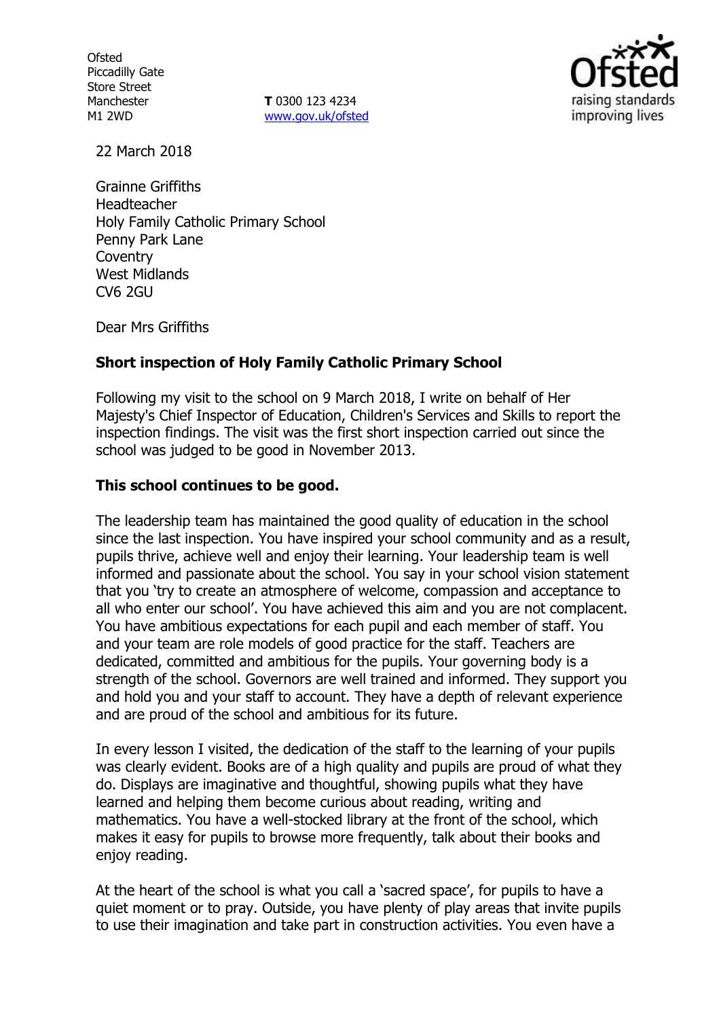**Ofsted** Piccadilly Gate Store Street Manchester M1 2WD

**T** 0300 123 4234 www.gov.uk/ofsted



22 March 2018

Grainne Griffiths Headteacher Holy Family Catholic Primary School Penny Park Lane **Coventry** West Midlands CV6 2GU

Dear Mrs Griffiths

# **Short inspection of Holy Family Catholic Primary School**

Following my visit to the school on 9 March 2018, I write on behalf of Her Majesty's Chief Inspector of Education, Children's Services and Skills to report the inspection findings. The visit was the first short inspection carried out since the school was judged to be good in November 2013.

## **This school continues to be good.**

The leadership team has maintained the good quality of education in the school since the last inspection. You have inspired your school community and as a result, pupils thrive, achieve well and enjoy their learning. Your leadership team is well informed and passionate about the school. You say in your school vision statement that you 'try to create an atmosphere of welcome, compassion and acceptance to all who enter our school'. You have achieved this aim and you are not complacent. You have ambitious expectations for each pupil and each member of staff. You and your team are role models of good practice for the staff. Teachers are dedicated, committed and ambitious for the pupils. Your governing body is a strength of the school. Governors are well trained and informed. They support you and hold you and your staff to account. They have a depth of relevant experience and are proud of the school and ambitious for its future.

In every lesson I visited, the dedication of the staff to the learning of your pupils was clearly evident. Books are of a high quality and pupils are proud of what they do. Displays are imaginative and thoughtful, showing pupils what they have learned and helping them become curious about reading, writing and mathematics. You have a well-stocked library at the front of the school, which makes it easy for pupils to browse more frequently, talk about their books and enjoy reading.

At the heart of the school is what you call a 'sacred space', for pupils to have a quiet moment or to pray. Outside, you have plenty of play areas that invite pupils to use their imagination and take part in construction activities. You even have a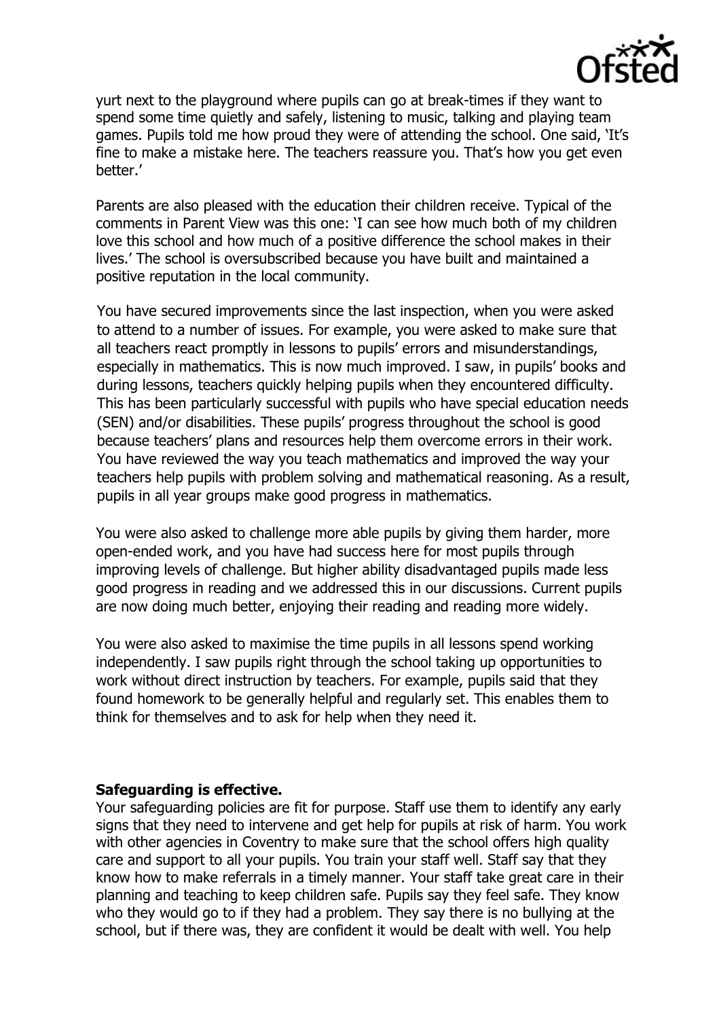

yurt next to the playground where pupils can go at break-times if they want to spend some time quietly and safely, listening to music, talking and playing team games. Pupils told me how proud they were of attending the school. One said, 'It's fine to make a mistake here. The teachers reassure you. That's how you get even better.'

Parents are also pleased with the education their children receive. Typical of the comments in Parent View was this one: 'I can see how much both of my children love this school and how much of a positive difference the school makes in their lives.' The school is oversubscribed because you have built and maintained a positive reputation in the local community.

You have secured improvements since the last inspection, when you were asked to attend to a number of issues. For example, you were asked to make sure that all teachers react promptly in lessons to pupils' errors and misunderstandings, especially in mathematics. This is now much improved. I saw, in pupils' books and during lessons, teachers quickly helping pupils when they encountered difficulty. This has been particularly successful with pupils who have special education needs (SEN) and/or disabilities. These pupils' progress throughout the school is good because teachers' plans and resources help them overcome errors in their work. You have reviewed the way you teach mathematics and improved the way your teachers help pupils with problem solving and mathematical reasoning. As a result, pupils in all year groups make good progress in mathematics.

You were also asked to challenge more able pupils by giving them harder, more open-ended work, and you have had success here for most pupils through improving levels of challenge. But higher ability disadvantaged pupils made less good progress in reading and we addressed this in our discussions. Current pupils are now doing much better, enjoying their reading and reading more widely.

You were also asked to maximise the time pupils in all lessons spend working independently. I saw pupils right through the school taking up opportunities to work without direct instruction by teachers. For example, pupils said that they found homework to be generally helpful and regularly set. This enables them to think for themselves and to ask for help when they need it.

#### **Safeguarding is effective.**

Your safeguarding policies are fit for purpose. Staff use them to identify any early signs that they need to intervene and get help for pupils at risk of harm. You work with other agencies in Coventry to make sure that the school offers high quality care and support to all your pupils. You train your staff well. Staff say that they know how to make referrals in a timely manner. Your staff take great care in their planning and teaching to keep children safe. Pupils say they feel safe. They know who they would go to if they had a problem. They say there is no bullying at the school, but if there was, they are confident it would be dealt with well. You help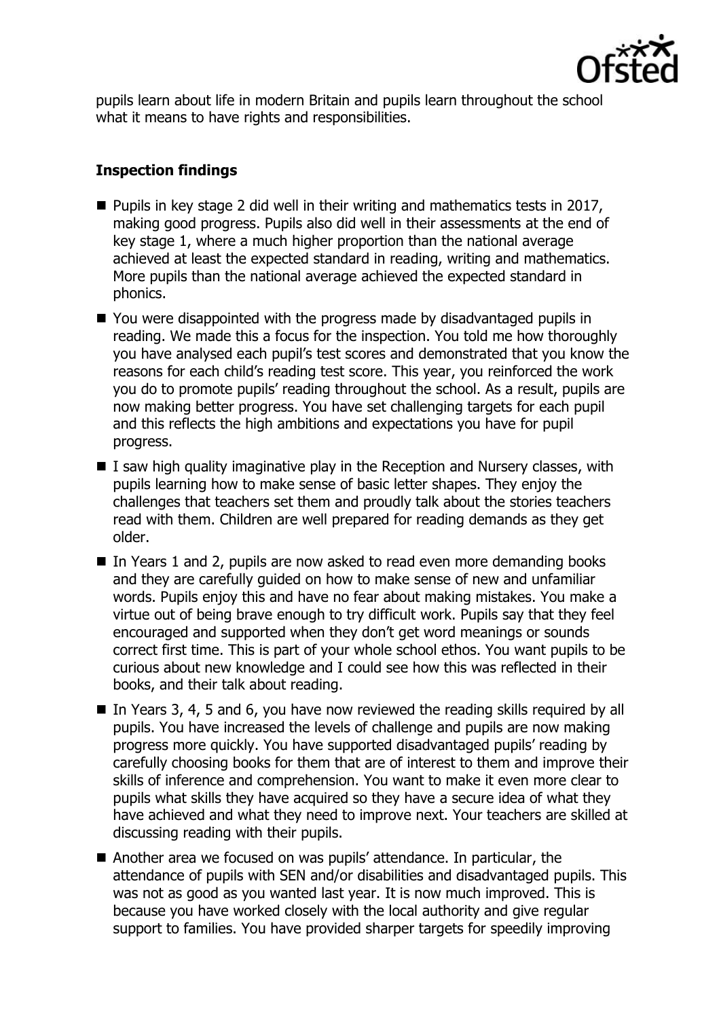

pupils learn about life in modern Britain and pupils learn throughout the school what it means to have rights and responsibilities.

# **Inspection findings**

- $\blacksquare$  Pupils in key stage 2 did well in their writing and mathematics tests in 2017, making good progress. Pupils also did well in their assessments at the end of key stage 1, where a much higher proportion than the national average achieved at least the expected standard in reading, writing and mathematics. More pupils than the national average achieved the expected standard in phonics.
- You were disappointed with the progress made by disadvantaged pupils in reading. We made this a focus for the inspection. You told me how thoroughly you have analysed each pupil's test scores and demonstrated that you know the reasons for each child's reading test score. This year, you reinforced the work you do to promote pupils' reading throughout the school. As a result, pupils are now making better progress. You have set challenging targets for each pupil and this reflects the high ambitions and expectations you have for pupil progress.
- $\blacksquare$  I saw high quality imaginative play in the Reception and Nursery classes, with pupils learning how to make sense of basic letter shapes. They enjoy the challenges that teachers set them and proudly talk about the stories teachers read with them. Children are well prepared for reading demands as they get older.
- In Years 1 and 2, pupils are now asked to read even more demanding books and they are carefully guided on how to make sense of new and unfamiliar words. Pupils enjoy this and have no fear about making mistakes. You make a virtue out of being brave enough to try difficult work. Pupils say that they feel encouraged and supported when they don't get word meanings or sounds correct first time. This is part of your whole school ethos. You want pupils to be curious about new knowledge and I could see how this was reflected in their books, and their talk about reading.
- In Years 3, 4, 5 and 6, you have now reviewed the reading skills required by all pupils. You have increased the levels of challenge and pupils are now making progress more quickly. You have supported disadvantaged pupils' reading by carefully choosing books for them that are of interest to them and improve their skills of inference and comprehension. You want to make it even more clear to pupils what skills they have acquired so they have a secure idea of what they have achieved and what they need to improve next. Your teachers are skilled at discussing reading with their pupils.
- Another area we focused on was pupils' attendance. In particular, the attendance of pupils with SEN and/or disabilities and disadvantaged pupils. This was not as good as you wanted last year. It is now much improved. This is because you have worked closely with the local authority and give regular support to families. You have provided sharper targets for speedily improving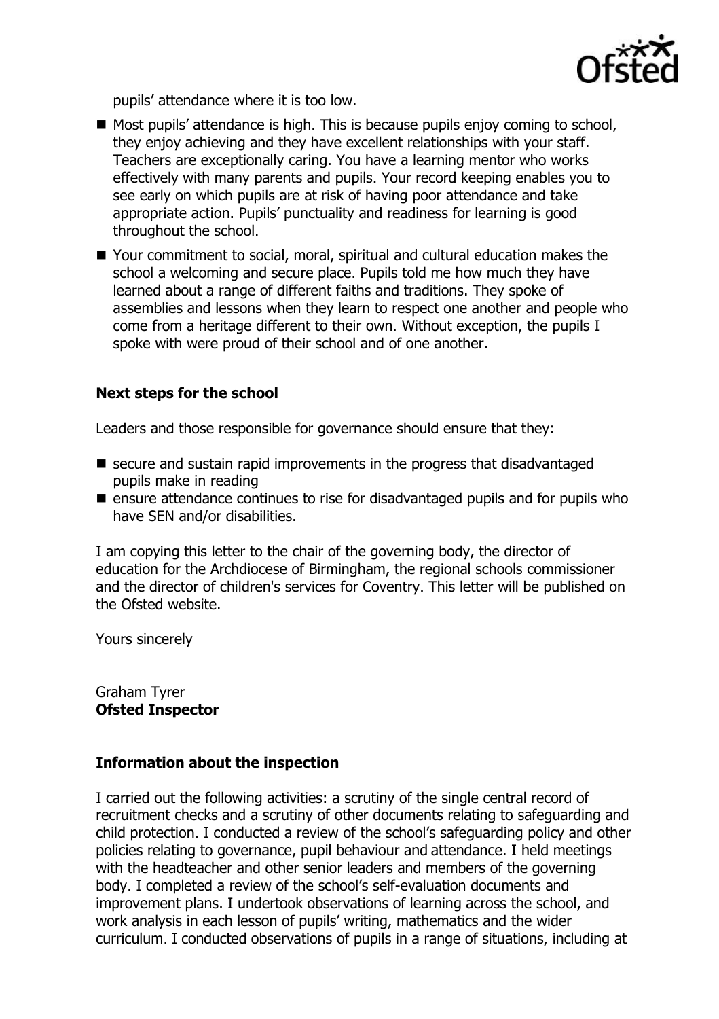

pupils' attendance where it is too low.

- $\blacksquare$  Most pupils' attendance is high. This is because pupils enjoy coming to school, they enjoy achieving and they have excellent relationships with your staff. Teachers are exceptionally caring. You have a learning mentor who works effectively with many parents and pupils. Your record keeping enables you to see early on which pupils are at risk of having poor attendance and take appropriate action. Pupils' punctuality and readiness for learning is good throughout the school.
- Your commitment to social, moral, spiritual and cultural education makes the school a welcoming and secure place. Pupils told me how much they have learned about a range of different faiths and traditions. They spoke of assemblies and lessons when they learn to respect one another and people who come from a heritage different to their own. Without exception, the pupils I spoke with were proud of their school and of one another.

# **Next steps for the school**

Leaders and those responsible for governance should ensure that they:

- secure and sustain rapid improvements in the progress that disadvantaged pupils make in reading
- $\blacksquare$  ensure attendance continues to rise for disadvantaged pupils and for pupils who have SEN and/or disabilities.

I am copying this letter to the chair of the governing body, the director of education for the Archdiocese of Birmingham, the regional schools commissioner and the director of children's services for Coventry. This letter will be published on the Ofsted website.

Yours sincerely

Graham Tyrer **Ofsted Inspector**

## **Information about the inspection**

I carried out the following activities: a scrutiny of the single central record of recruitment checks and a scrutiny of other documents relating to safeguarding and child protection. I conducted a review of the school's safeguarding policy and other policies relating to governance, pupil behaviour and attendance. I held meetings with the headteacher and other senior leaders and members of the governing body. I completed a review of the school's self-evaluation documents and improvement plans. I undertook observations of learning across the school, and work analysis in each lesson of pupils' writing, mathematics and the wider curriculum. I conducted observations of pupils in a range of situations, including at